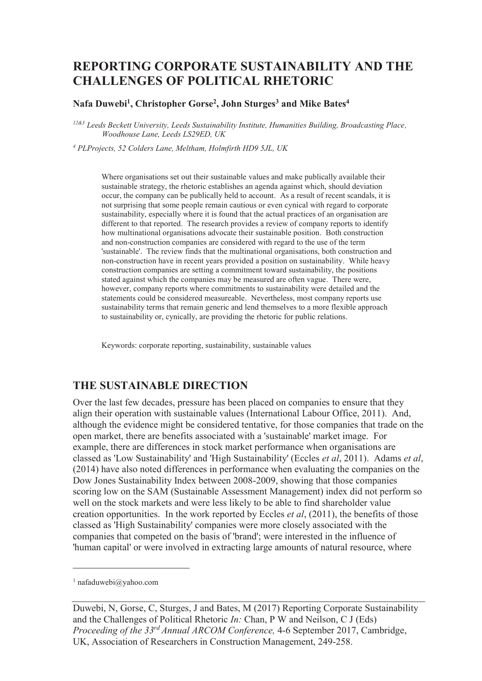# **REPORTING CORPORATE SUSTAINABILITY AND THE CHALLENGES OF POLITICAL RHETORIC**

**Nafa Duwebi<sup>1</sup> , Christopher Gorse<sup>2</sup> , John Sturges<sup>3</sup> and Mike Bates<sup>4</sup>**

*12&3 Leeds Beckett University, Leeds Sustainability Institute, Humanities Building, Broadcasting Place, Woodhouse Lane, Leeds LS29ED, UK* 

*4 PLProjects, 52 Colders Lane, Meltham, Holmfirth HD9 5JL, UK* 

Where organisations set out their sustainable values and make publically available their sustainable strategy, the rhetoric establishes an agenda against which, should deviation occur, the company can be publically held to account. As a result of recent scandals, it is not surprising that some people remain cautious or even cynical with regard to corporate sustainability, especially where it is found that the actual practices of an organisation are different to that reported. The research provides a review of company reports to identify how multinational organisations advocate their sustainable position. Both construction and non-construction companies are considered with regard to the use of the term 'sustainable'. The review finds that the multinational organisations, both construction and non-construction have in recent years provided a position on sustainability. While heavy construction companies are setting a commitment toward sustainability, the positions stated against which the companies may be measured are often vague. There were, however, company reports where commitments to sustainability were detailed and the statements could be considered measureable. Nevertheless, most company reports use sustainability terms that remain generic and lend themselves to a more flexible approach to sustainability or, cynically, are providing the rhetoric for public relations.

Keywords: corporate reporting, sustainability, sustainable values

### **THE SUSTAINABLE DIRECTION**

Over the last few decades, pressure has been placed on companies to ensure that they align their operation with sustainable values (International Labour Office, 2011). And, although the evidence might be considered tentative, for those companies that trade on the open market, there are benefits associated with a 'sustainable' market image. For example, there are differences in stock market performance when organisations are classed as 'Low Sustainability' and 'High Sustainability' (Eccles *et al*, 2011). Adams *et al*, (2014) have also noted differences in performance when evaluating the companies on the Dow Jones Sustainability Index between 2008-2009, showing that those companies scoring low on the SAM (Sustainable Assessment Management) index did not perform so well on the stock markets and were less likely to be able to find shareholder value creation opportunities. In the work reported by Eccles *et al*, (2011), the benefits of those classed as 'High Sustainability' companies were more closely associated with the companies that competed on the basis of 'brand'; were interested in the influence of 'human capital' or were involved in extracting large amounts of natural resource, where

-

<sup>1</sup> nafaduwebi@yahoo.com

Duwebi, N, Gorse, C, Sturges, J and Bates, M (2017) Reporting Corporate Sustainability and the Challenges of Political Rhetoric *In:* Chan, P W and Neilson, C J (Eds) *Proceeding of the 33rd Annual ARCOM Conference,* 4-6 September 2017, Cambridge, UK, Association of Researchers in Construction Management, 249-258.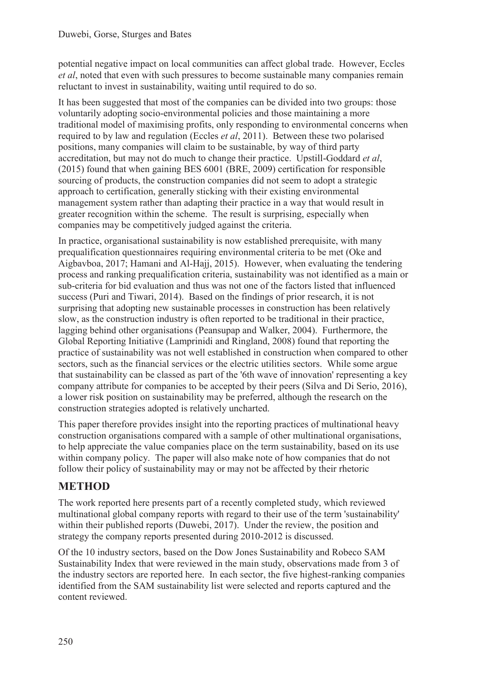potential negative impact on local communities can affect global trade. However, Eccles *et al*, noted that even with such pressures to become sustainable many companies remain reluctant to invest in sustainability, waiting until required to do so.

It has been suggested that most of the companies can be divided into two groups: those voluntarily adopting socio-environmental policies and those maintaining a more traditional model of maximising profits, only responding to environmental concerns when required to by law and regulation (Eccles *et al*, 2011). Between these two polarised positions, many companies will claim to be sustainable, by way of third party accreditation, but may not do much to change their practice. Upstill-Goddard *et al*, (2015) found that when gaining BES 6001 (BRE, 2009) certification for responsible sourcing of products, the construction companies did not seem to adopt a strategic approach to certification, generally sticking with their existing environmental management system rather than adapting their practice in a way that would result in greater recognition within the scheme. The result is surprising, especially when companies may be competitively judged against the criteria.

In practice, organisational sustainability is now established prerequisite, with many prequalification questionnaires requiring environmental criteria to be met (Oke and Aigbavboa, 2017; Hamani and Al-Hajj, 2015). However, when evaluating the tendering process and ranking prequalification criteria, sustainability was not identified as a main or sub-criteria for bid evaluation and thus was not one of the factors listed that influenced success (Puri and Tiwari, 2014). Based on the findings of prior research, it is not surprising that adopting new sustainable processes in construction has been relatively slow, as the construction industry is often reported to be traditional in their practice, lagging behind other organisations (Peansupap and Walker, 2004). Furthermore, the Global Reporting Initiative (Lamprinidi and Ringland, 2008) found that reporting the practice of sustainability was not well established in construction when compared to other sectors, such as the financial services or the electric utilities sectors. While some argue that sustainability can be classed as part of the '6th wave of innovation' representing a key company attribute for companies to be accepted by their peers (Silva and Di Serio, 2016), a lower risk position on sustainability may be preferred, although the research on the construction strategies adopted is relatively uncharted.

This paper therefore provides insight into the reporting practices of multinational heavy construction organisations compared with a sample of other multinational organisations, to help appreciate the value companies place on the term sustainability, based on its use within company policy. The paper will also make note of how companies that do not follow their policy of sustainability may or may not be affected by their rhetoric

# **METHOD**

The work reported here presents part of a recently completed study, which reviewed multinational global company reports with regard to their use of the term 'sustainability' within their published reports (Duwebi, 2017). Under the review, the position and strategy the company reports presented during 2010-2012 is discussed.

Of the 10 industry sectors, based on the Dow Jones Sustainability and Robeco SAM Sustainability Index that were reviewed in the main study, observations made from 3 of the industry sectors are reported here. In each sector, the five highest-ranking companies identified from the SAM sustainability list were selected and reports captured and the content reviewed.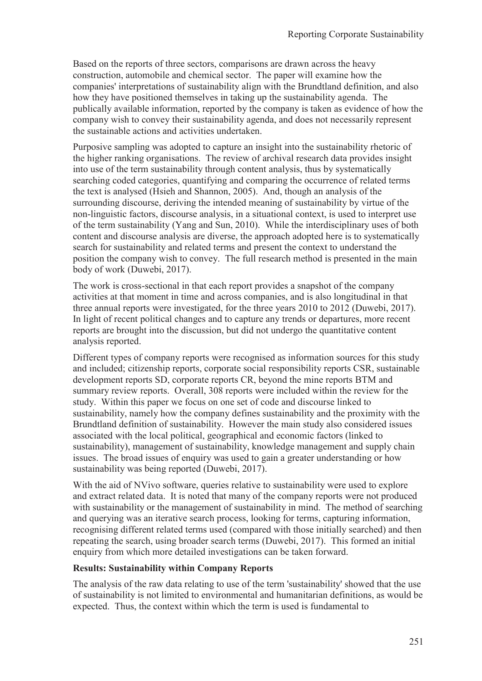Based on the reports of three sectors, comparisons are drawn across the heavy construction, automobile and chemical sector. The paper will examine how the companies' interpretations of sustainability align with the Brundtland definition, and also how they have positioned themselves in taking up the sustainability agenda. The publically available information, reported by the company is taken as evidence of how the company wish to convey their sustainability agenda, and does not necessarily represent the sustainable actions and activities undertaken.

Purposive sampling was adopted to capture an insight into the sustainability rhetoric of the higher ranking organisations. The review of archival research data provides insight into use of the term sustainability through content analysis, thus by systematically searching coded categories, quantifying and comparing the occurrence of related terms the text is analysed (Hsieh and Shannon, 2005). And, though an analysis of the surrounding discourse, deriving the intended meaning of sustainability by virtue of the non-linguistic factors, discourse analysis, in a situational context, is used to interpret use of the term sustainability (Yang and Sun, 2010). While the interdisciplinary uses of both content and discourse analysis are diverse, the approach adopted here is to systematically search for sustainability and related terms and present the context to understand the position the company wish to convey. The full research method is presented in the main body of work (Duwebi, 2017).

The work is cross-sectional in that each report provides a snapshot of the company activities at that moment in time and across companies, and is also longitudinal in that three annual reports were investigated, for the three years 2010 to 2012 (Duwebi, 2017). In light of recent political changes and to capture any trends or departures, more recent reports are brought into the discussion, but did not undergo the quantitative content analysis reported.

Different types of company reports were recognised as information sources for this study and included; citizenship reports, corporate social responsibility reports CSR, sustainable development reports SD, corporate reports CR, beyond the mine reports BTM and summary review reports. Overall, 308 reports were included within the review for the study. Within this paper we focus on one set of code and discourse linked to sustainability, namely how the company defines sustainability and the proximity with the Brundtland definition of sustainability. However the main study also considered issues associated with the local political, geographical and economic factors (linked to sustainability), management of sustainability, knowledge management and supply chain issues. The broad issues of enquiry was used to gain a greater understanding or how sustainability was being reported (Duwebi, 2017).

With the aid of NVivo software, queries relative to sustainability were used to explore and extract related data. It is noted that many of the company reports were not produced with sustainability or the management of sustainability in mind. The method of searching and querying was an iterative search process, looking for terms, capturing information, recognising different related terms used (compared with those initially searched) and then repeating the search, using broader search terms (Duwebi, 2017). This formed an initial enquiry from which more detailed investigations can be taken forward.

#### **Results: Sustainability within Company Reports**

The analysis of the raw data relating to use of the term 'sustainability' showed that the use of sustainability is not limited to environmental and humanitarian definitions, as would be expected. Thus, the context within which the term is used is fundamental to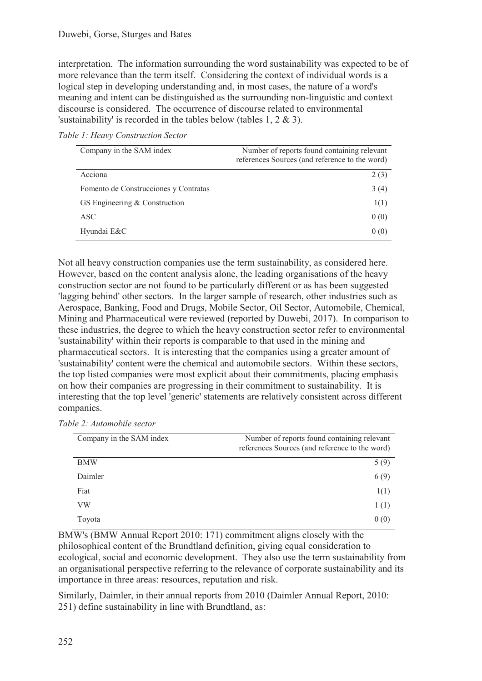interpretation. The information surrounding the word sustainability was expected to be of more relevance than the term itself. Considering the context of individual words is a logical step in developing understanding and, in most cases, the nature of a word's meaning and intent can be distinguished as the surrounding non-linguistic and context discourse is considered. The occurrence of discourse related to environmental 'sustainability' is recorded in the tables below (tables 1, 2 & 3).

| Company in the SAM index              | Number of reports found containing relevant<br>references Sources (and reference to the word) |
|---------------------------------------|-----------------------------------------------------------------------------------------------|
| Acciona                               | 2(3)                                                                                          |
| Fomento de Construcciones y Contratas | 3(4)                                                                                          |
| GS Engineering & Construction         | 1(1)                                                                                          |
| ASC.                                  | 0(0)                                                                                          |
| Hyundai E&C                           | 0(0)                                                                                          |

Not all heavy construction companies use the term sustainability, as considered here. However, based on the content analysis alone, the leading organisations of the heavy construction sector are not found to be particularly different or as has been suggested 'lagging behind' other sectors. In the larger sample of research, other industries such as Aerospace, Banking, Food and Drugs, Mobile Sector, Oil Sector, Automobile, Chemical, Mining and Pharmaceutical were reviewed (reported by Duwebi, 2017). In comparison to these industries, the degree to which the heavy construction sector refer to environmental 'sustainability' within their reports is comparable to that used in the mining and pharmaceutical sectors. It is interesting that the companies using a greater amount of 'sustainability' content were the chemical and automobile sectors. Within these sectors, the top listed companies were most explicit about their commitments, placing emphasis on how their companies are progressing in their commitment to sustainability. It is interesting that the top level 'generic' statements are relatively consistent across different companies.

| Table 2: Automobile sector      |  |
|---------------------------------|--|
| $C_{\text{c}}$ 4 $C \wedge M$ 1 |  |

| Company in the SAM index | Number of reports found containing relevant    |
|--------------------------|------------------------------------------------|
|                          | references Sources (and reference to the word) |
| <b>BMW</b>               | 5(9)                                           |
| Daimler                  | 6(9)                                           |
| Fiat                     | 1(1)                                           |
| VW                       | 1(1)                                           |
| Toyota                   | 0(0)                                           |

BMW's (BMW Annual Report 2010: 171) commitment aligns closely with the philosophical content of the Brundtland definition, giving equal consideration to ecological, social and economic development. They also use the term sustainability from an organisational perspective referring to the relevance of corporate sustainability and its importance in three areas: resources, reputation and risk.

Similarly, Daimler, in their annual reports from 2010 (Daimler Annual Report, 2010: 251) define sustainability in line with Brundtland, as: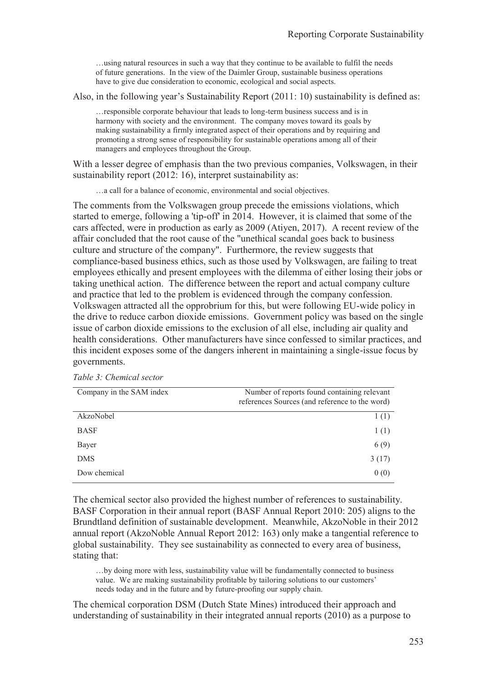…using natural resources in such a way that they continue to be available to fulfil the needs of future generations. In the view of the Daimler Group, sustainable business operations have to give due consideration to economic, ecological and social aspects.

Also, in the following year's Sustainability Report (2011: 10) sustainability is defined as:

…responsible corporate behaviour that leads to long-term business success and is in harmony with society and the environment. The company moves toward its goals by making sustainability a firmly integrated aspect of their operations and by requiring and promoting a strong sense of responsibility for sustainable operations among all of their managers and employees throughout the Group.

With a lesser degree of emphasis than the two previous companies, Volkswagen, in their sustainability report (2012: 16), interpret sustainability as:

…a call for a balance of economic, environmental and social objectives.

The comments from the Volkswagen group precede the emissions violations, which started to emerge, following a 'tip-off' in 2014. However, it is claimed that some of the cars affected, were in production as early as 2009 (Atiyen, 2017). A recent review of the affair concluded that the root cause of the "unethical scandal goes back to business culture and structure of the company". Furthermore, the review suggests that compliance-based business ethics, such as those used by Volkswagen, are failing to treat employees ethically and present employees with the dilemma of either losing their jobs or taking unethical action. The difference between the report and actual company culture and practice that led to the problem is evidenced through the company confession. Volkswagen attracted all the opprobrium for this, but were following EU-wide policy in the drive to reduce carbon dioxide emissions. Government policy was based on the single issue of carbon dioxide emissions to the exclusion of all else, including air quality and health considerations. Other manufacturers have since confessed to similar practices, and this incident exposes some of the dangers inherent in maintaining a single-issue focus by governments.

| Company in the SAM index | Number of reports found containing relevant<br>references Sources (and reference to the word) |
|--------------------------|-----------------------------------------------------------------------------------------------|
| AkzoNobel                | 1(1)                                                                                          |
| <b>BASF</b>              | 1(1)                                                                                          |
| Bayer                    | 6(9)                                                                                          |
| <b>DMS</b>               | 3(17)                                                                                         |
| Dow chemical             | 0(0)                                                                                          |

*Table 3: Chemical sector* 

The chemical sector also provided the highest number of references to sustainability. BASF Corporation in their annual report (BASF Annual Report 2010: 205) aligns to the Brundtland definition of sustainable development. Meanwhile, AkzoNoble in their 2012 annual report (AkzoNoble Annual Report 2012: 163) only make a tangential reference to global sustainability. They see sustainability as connected to every area of business, stating that:

…by doing more with less, sustainability value will be fundamentally connected to business value. We are making sustainability profitable by tailoring solutions to our customers' needs today and in the future and by future-proofing our supply chain.

The chemical corporation DSM (Dutch State Mines) introduced their approach and understanding of sustainability in their integrated annual reports (2010) as a purpose to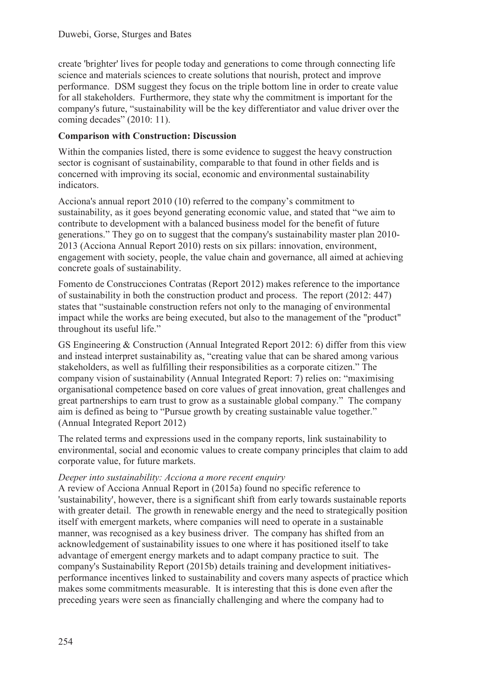create 'brighter' lives for people today and generations to come through connecting life science and materials sciences to create solutions that nourish, protect and improve performance. DSM suggest they focus on the triple bottom line in order to create value for all stakeholders. Furthermore, they state why the commitment is important for the company's future, "sustainability will be the key differentiator and value driver over the coming decades" (2010: 11).

### **Comparison with Construction: Discussion**

Within the companies listed, there is some evidence to suggest the heavy construction sector is cognisant of sustainability, comparable to that found in other fields and is concerned with improving its social, economic and environmental sustainability indicators.

Acciona's annual report 2010 (10) referred to the company's commitment to sustainability, as it goes beyond generating economic value, and stated that "we aim to contribute to development with a balanced business model for the benefit of future generations." They go on to suggest that the company's sustainability master plan 2010- 2013 (Acciona Annual Report 2010) rests on six pillars: innovation, environment, engagement with society, people, the value chain and governance, all aimed at achieving concrete goals of sustainability.

Fomento de Construcciones Contratas (Report 2012) makes reference to the importance of sustainability in both the construction product and process. The report (2012: 447) states that "sustainable construction refers not only to the managing of environmental impact while the works are being executed, but also to the management of the "product" throughout its useful life."

GS Engineering & Construction (Annual Integrated Report 2012: 6) differ from this view and instead interpret sustainability as, "creating value that can be shared among various stakeholders, as well as fulfilling their responsibilities as a corporate citizen." The company vision of sustainability (Annual Integrated Report: 7) relies on: "maximising organisational competence based on core values of great innovation, great challenges and great partnerships to earn trust to grow as a sustainable global company." The company aim is defined as being to "Pursue growth by creating sustainable value together." (Annual Integrated Report 2012)

The related terms and expressions used in the company reports, link sustainability to environmental, social and economic values to create company principles that claim to add corporate value, for future markets.

#### *Deeper into sustainability: Acciona a more recent enquiry*

A review of Acciona Annual Report in (2015a) found no specific reference to 'sustainability', however, there is a significant shift from early towards sustainable reports with greater detail. The growth in renewable energy and the need to strategically position itself with emergent markets, where companies will need to operate in a sustainable manner, was recognised as a key business driver. The company has shifted from an acknowledgement of sustainability issues to one where it has positioned itself to take advantage of emergent energy markets and to adapt company practice to suit. The company's Sustainability Report (2015b) details training and development initiativesperformance incentives linked to sustainability and covers many aspects of practice which makes some commitments measurable. It is interesting that this is done even after the preceding years were seen as financially challenging and where the company had to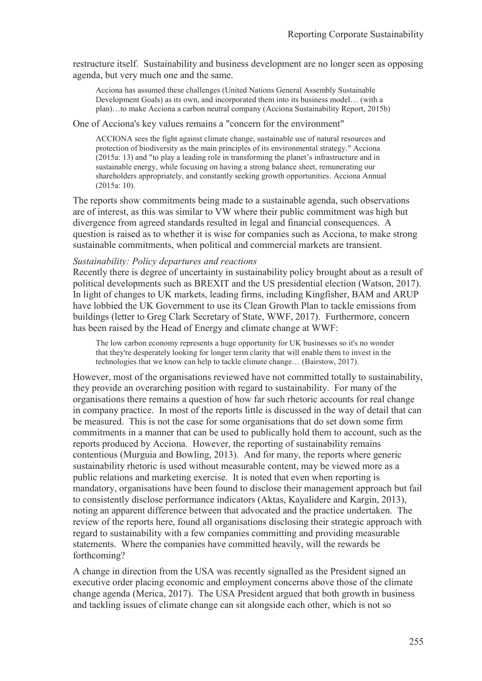restructure itself. Sustainability and business development are no longer seen as opposing agenda, but very much one and the same.

Acciona has assumed these challenges (United Nations General Assembly Sustainable Development Goals) as its own, and incorporated them into its business model… (with a plan)…to make Acciona a carbon neutral company (Acciona Sustainability Report, 2015b)

#### One of Acciona's key values remains a "concern for the environment"

ACCIONA sees the fight against climate change, sustainable use of natural resources and protection of biodiversity as the main principles of its environmental strategy." Acciona (2015a: 13) and "to play a leading role in transforming the planet's infrastructure and in sustainable energy, while focusing on having a strong balance sheet, remunerating our shareholders appropriately, and constantly seeking growth opportunities. Acciona Annual (2015a: 10).

The reports show commitments being made to a sustainable agenda, such observations are of interest, as this was similar to VW where their public commitment was high but divergence from agreed standards resulted in legal and financial consequences. A question is raised as to whether it is wise for companies such as Acciona, to make strong sustainable commitments, when political and commercial markets are transient.

#### *Sustainability: Policy departures and reactions*

Recently there is degree of uncertainty in sustainability policy brought about as a result of political developments such as BREXIT and the US presidential election (Watson, 2017). In light of changes to UK markets, leading firms, including Kingfisher, BAM and ARUP have lobbied the UK Government to use its Clean Growth Plan to tackle emissions from buildings (letter to Greg Clark Secretary of State, WWF, 2017). Furthermore, concern has been raised by the Head of Energy and climate change at WWF:

The low carbon economy represents a huge opportunity for UK businesses so it's no wonder that they're desperately looking for longer term clarity that will enable them to invest in the technologies that we know can help to tackle climate change… (Bairstow, 2017).

However, most of the organisations reviewed have not committed totally to sustainability, they provide an overarching position with regard to sustainability. For many of the organisations there remains a question of how far such rhetoric accounts for real change in company practice. In most of the reports little is discussed in the way of detail that can be measured. This is not the case for some organisations that do set down some firm commitments in a manner that can be used to publically hold them to account, such as the reports produced by Acciona. However, the reporting of sustainability remains contentious (Murguia and Bowling, 2013). And for many, the reports where generic sustainability rhetoric is used without measurable content, may be viewed more as a public relations and marketing exercise. It is noted that even when reporting is mandatory, organisations have been found to disclose their management approach but fail to consistently disclose performance indicators (Aktas, Kayalidere and Kargin, 2013), noting an apparent difference between that advocated and the practice undertaken. The review of the reports here, found all organisations disclosing their strategic approach with regard to sustainability with a few companies committing and providing measurable statements. Where the companies have committed heavily, will the rewards be forthcoming?

A change in direction from the USA was recently signalled as the President signed an executive order placing economic and employment concerns above those of the climate change agenda (Merica, 2017). The USA President argued that both growth in business and tackling issues of climate change can sit alongside each other, which is not so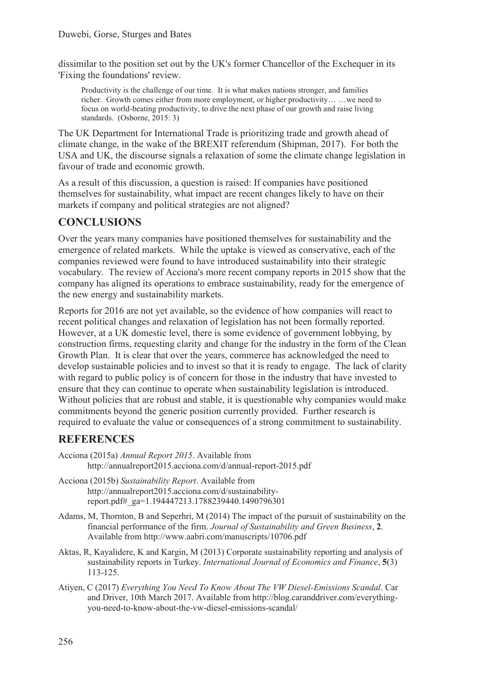dissimilar to the position set out by the UK's former Chancellor of the Exchequer in its 'Fixing the foundations' review.

Productivity is the challenge of our time. It is what makes nations stronger, and families richer. Growth comes either from more employment, or higher productivity… …we need to focus on world-beating productivity, to drive the next phase of our growth and raise living standards. (Osborne, 2015: 3)

The UK Department for International Trade is prioritizing trade and growth ahead of climate change, in the wake of the BREXIT referendum (Shipman, 2017). For both the USA and UK, the discourse signals a relaxation of some the climate change legislation in favour of trade and economic growth.

As a result of this discussion, a question is raised: If companies have positioned themselves for sustainability, what impact are recent changes likely to have on their markets if company and political strategies are not aligned?

# **CONCLUSIONS**

Over the years many companies have positioned themselves for sustainability and the emergence of related markets. While the uptake is viewed as conservative, each of the companies reviewed were found to have introduced sustainability into their strategic vocabulary. The review of Acciona's more recent company reports in 2015 show that the company has aligned its operations to embrace sustainability, ready for the emergence of the new energy and sustainability markets.

Reports for 2016 are not yet available, so the evidence of how companies will react to recent political changes and relaxation of legislation has not been formally reported. However, at a UK domestic level, there is some evidence of government lobbying, by construction firms, requesting clarity and change for the industry in the form of the Clean Growth Plan. It is clear that over the years, commerce has acknowledged the need to develop sustainable policies and to invest so that it is ready to engage. The lack of clarity with regard to public policy is of concern for those in the industry that have invested to ensure that they can continue to operate when sustainability legislation is introduced. Without policies that are robust and stable, it is questionable why companies would make commitments beyond the generic position currently provided. Further research is required to evaluate the value or consequences of a strong commitment to sustainability.

### **REFERENCES**

- Acciona (2015a) *Annual Report 2015*. Available from http://annualreport2015.acciona.com/d/annual-report-2015.pdf
- Acciona (2015b) *Sustainability Report*. Available from http://annualreport2015.acciona.com/d/sustainabilityreport.pdf#\_ga=1.194447213.1788239440.1490796301
- Adams, M, Thornton, B and Seperhri, M (2014) The impact of the pursuit of sustainability on the financial performance of the firm. *Journal of Sustainability and Green Business*, **2**. Available from http://www.aabri.com/manuscripts/10706.pdf
- Aktas, R, Kayalidere, K and Kargin, M (2013) Corporate sustainability reporting and analysis of sustainability reports in Turkey. *International Journal of Economics and Finance*, **5**(3) 113-125.
- Atiyen, C (2017) *Everything You Need To Know About The VW Diesel-Emissions Scandal*. Car and Driver, 10th March 2017. Available from http://blog.caranddriver.com/everythingyou-need-to-know-about-the-vw-diesel-emissions-scandal/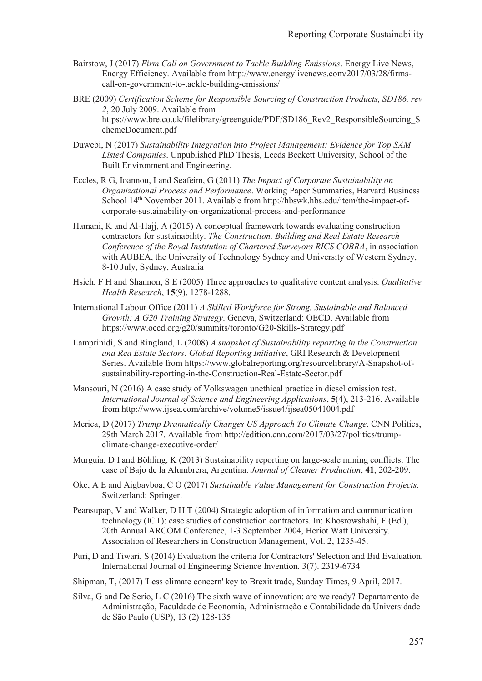- Bairstow, J (2017) *Firm Call on Government to Tackle Building Emissions*. Energy Live News, Energy Efficiency. Available from http://www.energylivenews.com/2017/03/28/firmscall-on-government-to-tackle-building-emissions/
- BRE (2009) *Certification Scheme for Responsible Sourcing of Construction Products, SD186, rev 2*, 20 July 2009. Available from https://www.bre.co.uk/filelibrary/greenguide/PDF/SD186\_Rev2\_ResponsibleSourcing\_S chemeDocument.pdf
- Duwebi, N (2017) *Sustainability Integration into Project Management: Evidence for Top SAM Listed Companies*. Unpublished PhD Thesis, Leeds Beckett University, School of the Built Environment and Engineering.
- Eccles, R G, Ioannou, I and Seafeim, G (2011) *The Impact of Corporate Sustainability on Organizational Process and Performance*. Working Paper Summaries, Harvard Business School 14<sup>th</sup> November 2011. Available from http://hbswk.hbs.edu/item/the-impact-ofcorporate-sustainability-on-organizational-process-and-performance
- Hamani, K and Al-Hajj, A (2015) A conceptual framework towards evaluating construction contractors for sustainability. *The Construction, Building and Real Estate Research Conference of the Royal Institution of Chartered Surveyors RICS COBRA*, in association with AUBEA, the University of Technology Sydney and University of Western Sydney, 8-10 July, Sydney, Australia
- Hsieh, F H and Shannon, S E (2005) Three approaches to qualitative content analysis. *Qualitative Health Research*, **15**(9), 1278-1288.
- International Labour Office (2011) *A Skilled Workforce for Strong, Sustainable and Balanced Growth: A G20 Training Strategy*. Geneva, Switzerland: OECD. Available from https://www.oecd.org/g20/summits/toronto/G20-Skills-Strategy.pdf
- Lamprinidi, S and Ringland, L (2008) *A snapshot of Sustainability reporting in the Construction and Rea Estate Sectors. Global Reporting Initiative*, GRI Research & Development Series. Available from https://www.globalreporting.org/resourcelibrary/A-Snapshot-ofsustainability-reporting-in-the-Construction-Real-Estate-Sector.pdf
- Mansouri, N (2016) A case study of Volkswagen unethical practice in diesel emission test. *International Journal of Science and Engineering Applications*, **5**(4), 213-216. Available from http://www.ijsea.com/archive/volume5/issue4/ijsea05041004.pdf
- Merica, D (2017) *Trump Dramatically Changes US Approach To Climate Change*. CNN Politics, 29th March 2017. Available from http://edition.cnn.com/2017/03/27/politics/trumpclimate-change-executive-order/
- Murguia, D I and Böhling, K (2013) Sustainability reporting on large-scale mining conflicts: The case of Bajo de la Alumbrera, Argentina. *Journal of Cleaner Production*, **41**, 202-209.
- Oke, A E and Aigbavboa, C O (2017) *Sustainable Value Management for Construction Projects*. Switzerland: Springer.
- Peansupap, V and Walker, D H T (2004) Strategic adoption of information and communication technology (ICT): case studies of construction contractors. In: Khosrowshahi, F (Ed.), 20th Annual ARCOM Conference, 1-3 September 2004, Heriot Watt University. Association of Researchers in Construction Management, Vol. 2, 1235-45.
- Puri, D and Tiwari, S (2014) Evaluation the criteria for Contractors' Selection and Bid Evaluation. International Journal of Engineering Science Invention. 3(7). 2319-6734
- Shipman, T, (2017) 'Less climate concern' key to Brexit trade, Sunday Times, 9 April, 2017.
- Silva, G and De Serio, L C (2016) The sixth wave of innovation: are we ready? Departamento de Administração, Faculdade de Economia, Administração e Contabilidade da Universidade de São Paulo (USP), 13 (2) 128-135